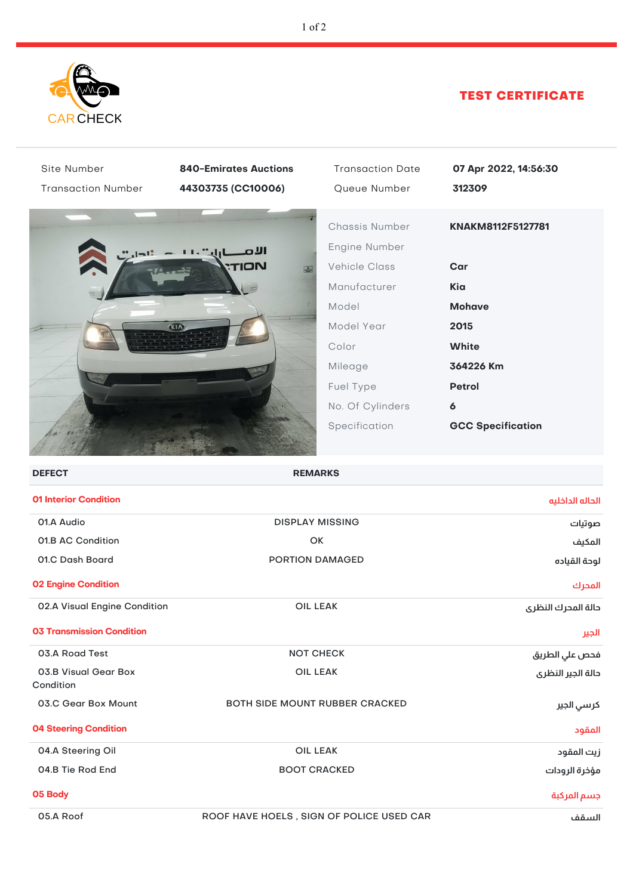

## TEST CERTIFICATE

| Site Number                       | <b>840-Emirates Auctions</b> | <b>Transaction Date</b>                                 | 07 Apr 2022, 14:56:30    |
|-----------------------------------|------------------------------|---------------------------------------------------------|--------------------------|
| <b>Transaction Number</b>         | 44303735 (CC10006)           | Queue Number                                            | 312309                   |
|                                   | וענ<br>'ION                  | Chassis Number<br>Engine Number<br><b>Vehicle Class</b> | KNAKM8112F5127781<br>Car |
|                                   |                              | Manufacturer                                            | Kia                      |
|                                   |                              | Model                                                   | <b>Mohave</b>            |
|                                   | <b>GUN</b>                   | Model Year                                              | 2015                     |
|                                   |                              | Color                                                   | <b>White</b>             |
|                                   |                              | Mileage                                                 | 364226 Km                |
|                                   |                              | Fuel Type                                               | <b>Petrol</b>            |
|                                   |                              | No. Of Cylinders                                        | 6                        |
|                                   |                              | Specification                                           | <b>GCC Specification</b> |
| <b>DEFECT</b><br><b>REMARKS</b>   |                              |                                                         |                          |
| <b>01 Interior Condition</b>      |                              |                                                         | الحاله الداخليه          |
| 01.A Audio                        |                              | <b>DISPLAY MISSING</b>                                  |                          |
| 01.B AC Condition                 |                              | OK                                                      |                          |
| 01.C Dash Board                   |                              | PORTION DAMAGED                                         |                          |
| <b>02 Engine Condition</b>        |                              |                                                         | المحرك                   |
| 02.A Visual Engine Condition      |                              | <b>OIL LEAK</b>                                         |                          |
| <b>03 Transmission Condition</b>  |                              |                                                         | الجير                    |
| 03.A Road Test                    |                              | <b>NOT CHECK</b>                                        |                          |
| 03.B Visual Gear Box<br>Condition |                              | <b>OIL LEAK</b>                                         |                          |
| 03.C Gear Box Mount               |                              | BOTH SIDE MOUNT RUBBER CRACKED                          |                          |
| <b>04 Steering Condition</b>      |                              |                                                         | المقود                   |
| 04.A Steering Oil                 |                              | <b>OIL LEAK</b>                                         |                          |
| 04.B Tie Rod End                  |                              | <b>BOOT CRACKED</b>                                     |                          |
| 05 Body                           |                              |                                                         | جسم المركبة              |
| 05.A Roof                         |                              | ROOF HAVE HOELS, SIGN OF POLICE USED CAR                | السقف                    |